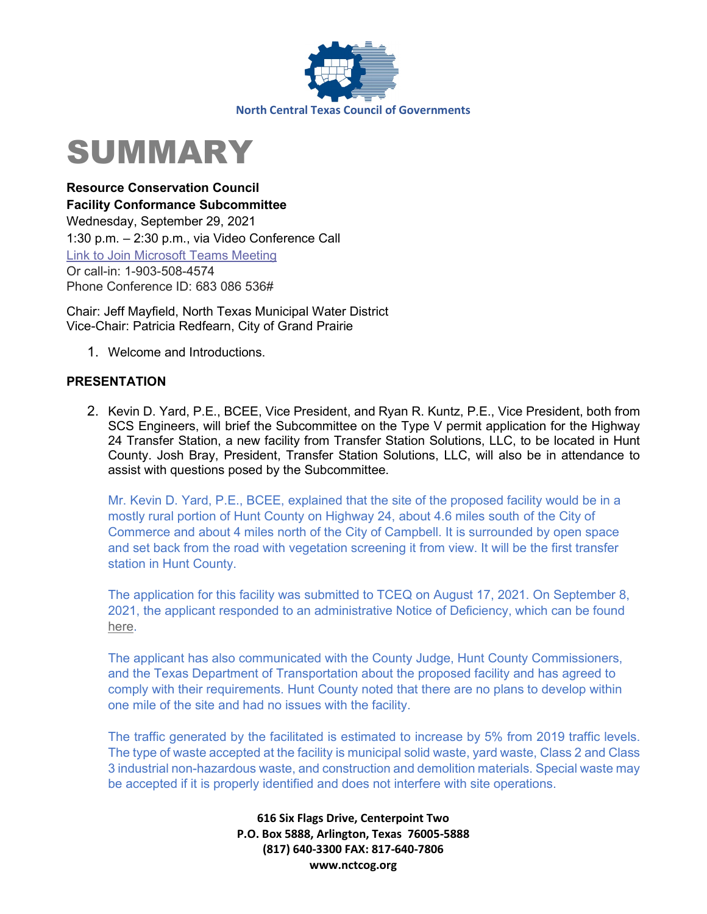

# SUMMARY

**Resource Conservation Council Facility Conformance Subcommittee**  Wednesday, September 29, 2021 1:30 p.m. – 2:30 p.m., via Video Conference Call [Link to Join Microsoft Teams Meeting](https://teams.microsoft.com/l/meetup-join/19%3ameeting_OTRiM2IzMGEtNjFlMi00OWMzLWE0Y2MtM2EzMDE1MDNiMDhj%40thread.v2/0?context=%7b%22Tid%22%3a%222f5e7ebc-22b0-4fbe-934c-aabddb4e29b1%22%2c%22Oid%22%3a%22cab28b78-d671-4384-9c8e-6035f7c46b7d%22%7d) Or call-in: 1-903-508-4574 Phone Conference ID: 683 086 536#

Chair: Jeff Mayfield, North Texas Municipal Water District Vice-Chair: Patricia Redfearn, City of Grand Prairie

1. Welcome and Introductions.

# **PRESENTATION**

2. Kevin D. Yard, P.E., BCEE, Vice President, and Ryan R. Kuntz, P.E., Vice President, both from SCS Engineers, will brief the Subcommittee on the Type V permit application for the Highway 24 Transfer Station, a new facility from Transfer Station Solutions, LLC, to be located in Hunt County. Josh Bray, President, Transfer Station Solutions, LLC, will also be in attendance to assist with questions posed by the Subcommittee.

Mr. Kevin D. Yard, P.E., BCEE, explained that the site of the proposed facility would be in a mostly rural portion of Hunt County on Highway 24, about 4.6 miles south of the City of Commerce and about 4 miles north of the City of Campbell. It is surrounded by open space and set back from the road with vegetation screening it from view. It will be the first transfer station in Hunt County.

The application for this facility was submitted to TCEQ on August 17, 2021. On September 8, 2021, the applicant responded to an administrative Notice of Deficiency, which can be found [here.](https://www.scsengineers.com/state/hwy-24-transfer-station/permit-application-administrative-nod1-response-9-10-21/)

The applicant has also communicated with the County Judge, Hunt County Commissioners, and the Texas Department of Transportation about the proposed facility and has agreed to comply with their requirements. Hunt County noted that there are no plans to develop within one mile of the site and had no issues with the facility.

The traffic generated by the facilitated is estimated to increase by 5% from 2019 traffic levels. The type of waste accepted at the facility is municipal solid waste, yard waste, Class 2 and Class 3 industrial non-hazardous waste, and construction and demolition materials. Special waste may be accepted if it is properly identified and does not interfere with site operations.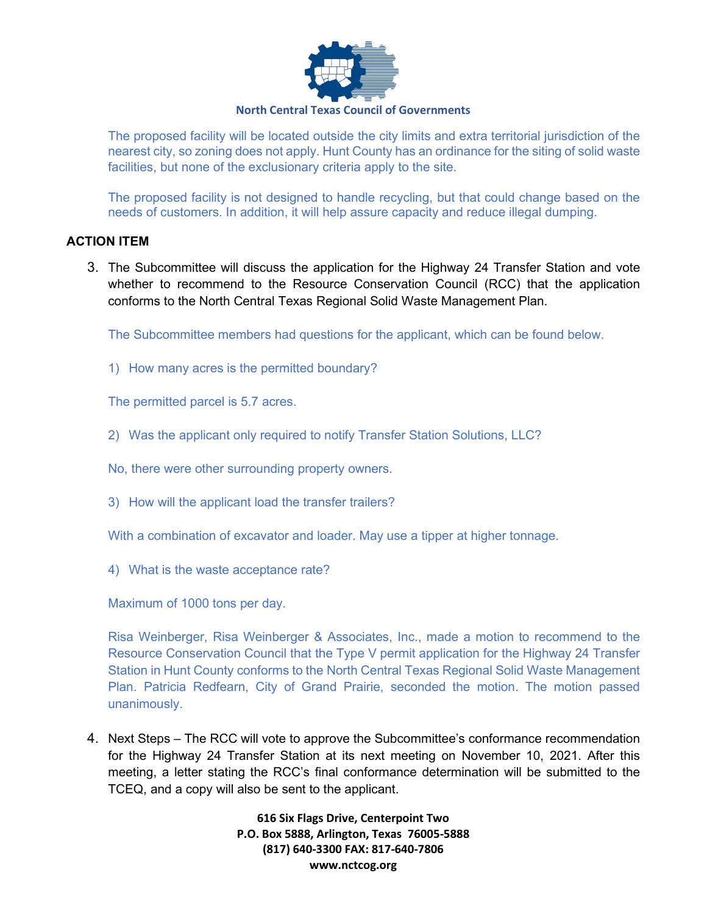

# **North Central Texas Council of Governments**

The proposed facility will be located outside the city limits and extra territorial jurisdiction of the nearest city, so zoning does not apply. Hunt County has an ordinance for the siting of solid waste facilities, but none of the exclusionary criteria apply to the site.

The proposed facility is not designed to handle recycling, but that could change based on the needs of customers. In addition, it will help assure capacity and reduce illegal dumping.

#### **ACTION ITEM**

3. The Subcommittee will discuss the application for the Highway 24 Transfer Station and vote whether to recommend to the Resource Conservation Council (RCC) that the application conforms to the North Central Texas Regional Solid Waste Management Plan.

The Subcommittee members had questions for the applicant, which can be found below.

1) How many acres is the permitted boundary?

The permitted parcel is 5.7 acres.

- 2) Was the applicant only required to notify Transfer Station Solutions, LLC?
- No, there were other surrounding property owners.
- 3) How will the applicant load the transfer trailers?
- With a combination of excavator and loader. May use a tipper at higher tonnage.
- 4) What is the waste acceptance rate?

Maximum of 1000 tons per day.

Risa Weinberger, Risa Weinberger & Associates, Inc., made a motion to recommend to the Resource Conservation Council that the Type V permit application for the Highway 24 Transfer Station in Hunt County conforms to the North Central Texas Regional Solid Waste Management Plan. Patricia Redfearn, City of Grand Prairie, seconded the motion. The motion passed unanimously.

4. Next Steps – The RCC will vote to approve the Subcommittee's conformance recommendation for the Highway 24 Transfer Station at its next meeting on November 10, 2021. After this meeting, a letter stating the RCC's final conformance determination will be submitted to the TCEQ, and a copy will also be sent to the applicant.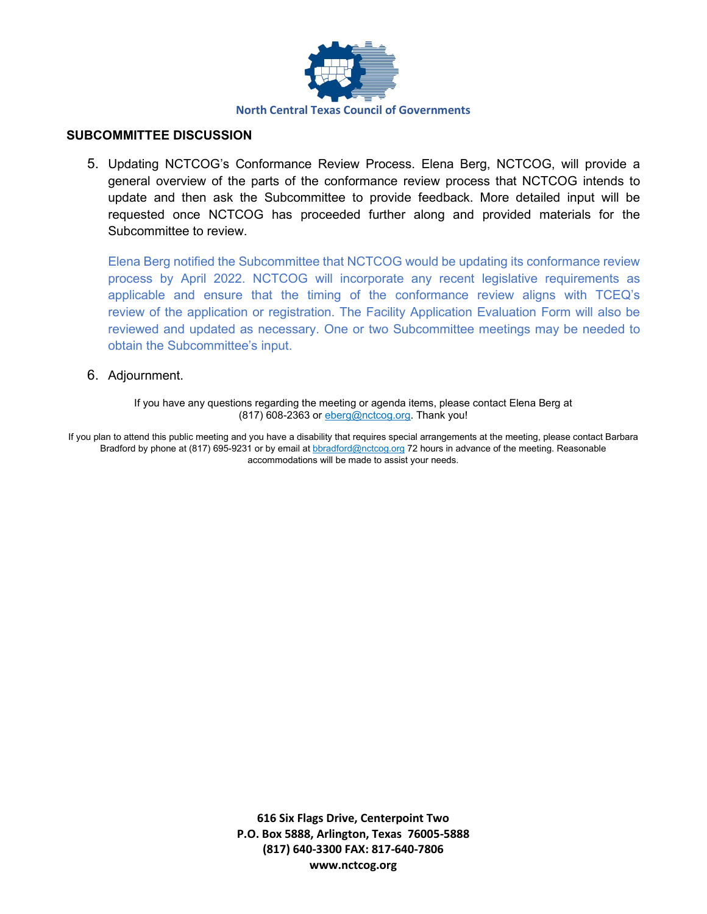

#### **SUBCOMMITTEE DISCUSSION**

5. Updating NCTCOG's Conformance Review Process. Elena Berg, NCTCOG, will provide a general overview of the parts of the conformance review process that NCTCOG intends to update and then ask the Subcommittee to provide feedback. More detailed input will be requested once NCTCOG has proceeded further along and provided materials for the Subcommittee to review.

Elena Berg notified the Subcommittee that NCTCOG would be updating its conformance review process by April 2022. NCTCOG will incorporate any recent legislative requirements as applicable and ensure that the timing of the conformance review aligns with TCEQ's review of the application or registration. The Facility Application Evaluation Form will also be reviewed and updated as necessary. One or two Subcommittee meetings may be needed to obtain the Subcommittee's input.

#### 6. Adjournment.

If you have any questions regarding the meeting or agenda items, please contact Elena Berg at (817) 608-2363 or [eberg@nctcog.org.](mailto:eberg@nctcog.org) Thank you!

If you plan to attend this public meeting and you have a disability that requires special arrangements at the meeting, please contact Barbara Bradford by phone at (817) 695-9231 or by email at **b**bradford@nctcog.org 72 hours in advance of the meeting. Reasonable accommodations will be made to assist your needs.